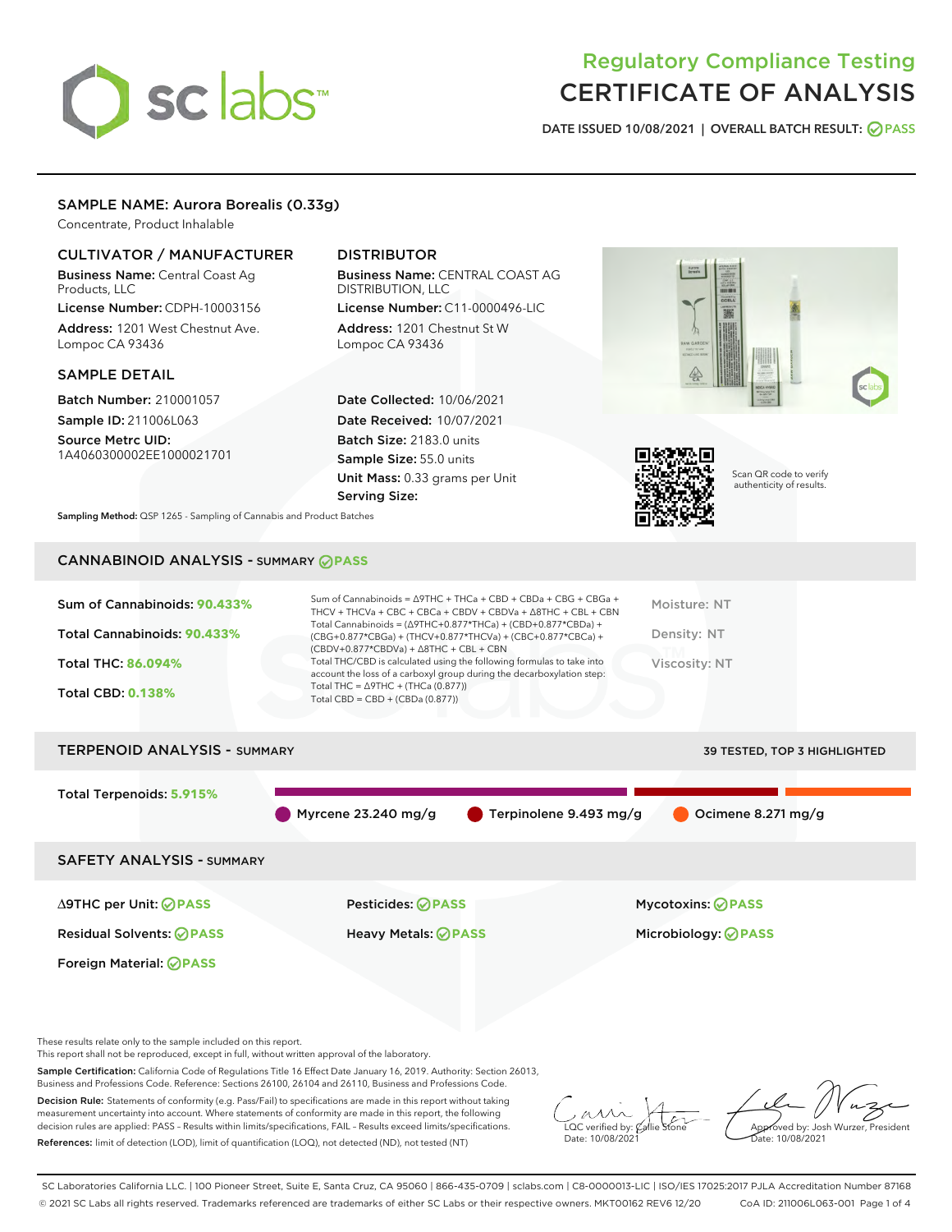# sclabs<sup>\*</sup>

# Regulatory Compliance Testing CERTIFICATE OF ANALYSIS

DATE ISSUED 10/08/2021 | OVERALL BATCH RESULT: @ PASS

#### SAMPLE NAME: Aurora Borealis (0.33g)

Concentrate, Product Inhalable

#### CULTIVATOR / MANUFACTURER

Business Name: Central Coast Ag Products, LLC

License Number: CDPH-10003156 Address: 1201 West Chestnut Ave. Lompoc CA 93436

#### SAMPLE DETAIL

Batch Number: 210001057 Sample ID: 211006L063

Source Metrc UID: 1A4060300002EE1000021701

### DISTRIBUTOR

Business Name: CENTRAL COAST AG DISTRIBUTION, LLC License Number: C11-0000496-LIC

Address: 1201 Chestnut St W Lompoc CA 93436

Date Collected: 10/06/2021 Date Received: 10/07/2021 Batch Size: 2183.0 units Sample Size: 55.0 units Unit Mass: 0.33 grams per Unit Serving Size:





Scan QR code to verify authenticity of results.

Sampling Method: QSP 1265 - Sampling of Cannabis and Product Batches

# CANNABINOID ANALYSIS - SUMMARY **PASS**

| Sum of Cannabinoids: 90.433%<br>Total Cannabinoids: 90.433%<br><b>Total THC: 86.094%</b><br><b>Total CBD: 0.138%</b> | Sum of Cannabinoids = $\triangle$ 9THC + THCa + CBD + CBDa + CBG + CBGa +<br>THCV + THCVa + CBC + CBCa + CBDV + CBDVa + $\Delta$ 8THC + CBL + CBN<br>Total Cannabinoids = $(\Delta$ 9THC+0.877*THCa) + (CBD+0.877*CBDa) +<br>$(CBG+0.877*CBGa) + (THCV+0.877*THCVa) + (CBC+0.877*CBCa) +$<br>$(CBDV+0.877*CBDVa) + \Delta 8THC + CBL + CBN$<br>Total THC/CBD is calculated using the following formulas to take into<br>account the loss of a carboxyl group during the decarboxylation step:<br>Total THC = $\triangle$ 9THC + (THCa (0.877))<br>Total CBD = $CBD + (CBDa (0.877))$ | Moisture: NT<br>Density: NT<br>Viscosity: NT |
|----------------------------------------------------------------------------------------------------------------------|--------------------------------------------------------------------------------------------------------------------------------------------------------------------------------------------------------------------------------------------------------------------------------------------------------------------------------------------------------------------------------------------------------------------------------------------------------------------------------------------------------------------------------------------------------------------------------------|----------------------------------------------|
| <b>TERPENOID ANALYSIS - SUMMARY</b>                                                                                  |                                                                                                                                                                                                                                                                                                                                                                                                                                                                                                                                                                                      | <b>39 TESTED, TOP 3 HIGHLIGHTED</b>          |
| Total Terpenoids: 5.915%                                                                                             |                                                                                                                                                                                                                                                                                                                                                                                                                                                                                                                                                                                      |                                              |

Myrcene 23.240 mg/g  $\bullet$  Terpinolene 9.493 mg/g  $\bullet$  Ocimene 8.271 mg/g

SAFETY ANALYSIS - SUMMARY

Residual Solvents: **PASS** Heavy Metals: **PASS** Microbiology: **PASS**

Foreign Material: **PASS**

∆9THC per Unit: **PASS** Pesticides: **PASS** Mycotoxins: **PASS**

These results relate only to the sample included on this report.

This report shall not be reproduced, except in full, without written approval of the laboratory.

Sample Certification: California Code of Regulations Title 16 Effect Date January 16, 2019. Authority: Section 26013, Business and Professions Code. Reference: Sections 26100, 26104 and 26110, Business and Professions Code.

Decision Rule: Statements of conformity (e.g. Pass/Fail) to specifications are made in this report without taking measurement uncertainty into account. Where statements of conformity are made in this report, the following decision rules are applied: PASS – Results within limits/specifications, FAIL – Results exceed limits/specifications. References: limit of detection (LOD), limit of quantification (LOQ), not detected (ND), not tested (NT)

 $\overline{\text{LOC}}$  verified by:  $\mathcal C$ Date: 10/08/2021

Approved by: Josh Wurzer, President ate: 10/08/2021

SC Laboratories California LLC. | 100 Pioneer Street, Suite E, Santa Cruz, CA 95060 | 866-435-0709 | sclabs.com | C8-0000013-LIC | ISO/IES 17025:2017 PJLA Accreditation Number 87168 © 2021 SC Labs all rights reserved. Trademarks referenced are trademarks of either SC Labs or their respective owners. MKT00162 REV6 12/20 CoA ID: 211006L063-001 Page 1 of 4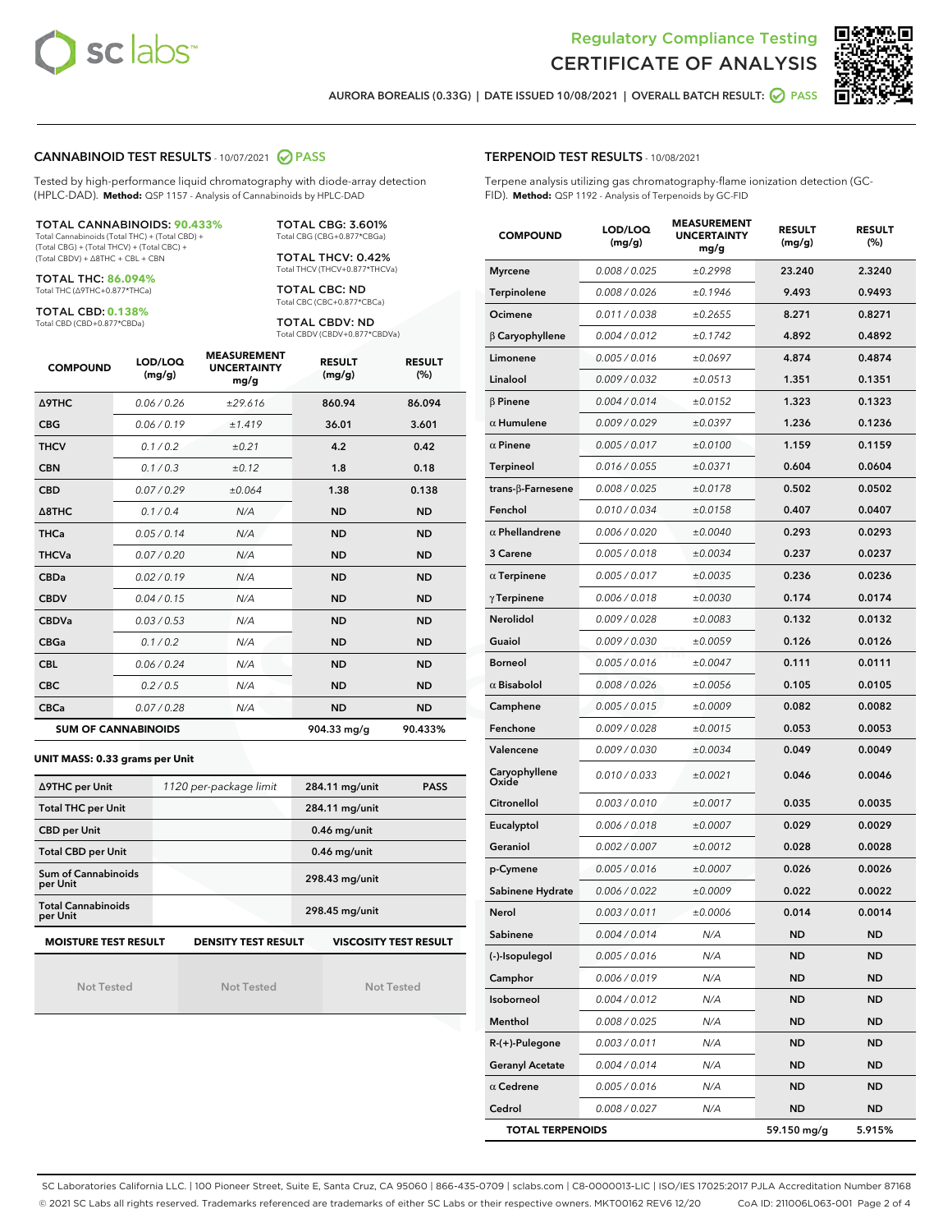



AURORA BOREALIS (0.33G) | DATE ISSUED 10/08/2021 | OVERALL BATCH RESULT: 2 PASS

#### CANNABINOID TEST RESULTS - 10/07/2021 2 PASS

Tested by high-performance liquid chromatography with diode-array detection (HPLC-DAD). **Method:** QSP 1157 - Analysis of Cannabinoids by HPLC-DAD

#### TOTAL CANNABINOIDS: **90.433%**

Total Cannabinoids (Total THC) + (Total CBD) + (Total CBG) + (Total THCV) + (Total CBC) + (Total CBDV) + ∆8THC + CBL + CBN

TOTAL THC: **86.094%** Total THC (∆9THC+0.877\*THCa)

TOTAL CBD: **0.138%**

Total CBD (CBD+0.877\*CBDa)

TOTAL CBG: 3.601% Total CBG (CBG+0.877\*CBGa)

TOTAL THCV: 0.42% Total THCV (THCV+0.877\*THCVa)

TOTAL CBC: ND Total CBC (CBC+0.877\*CBCa)

TOTAL CBDV: ND Total CBDV (CBDV+0.877\*CBDVa)

| <b>COMPOUND</b>            | LOD/LOQ<br>(mg/g) | <b>MEASUREMENT</b><br><b>UNCERTAINTY</b><br>mg/g | <b>RESULT</b><br>(mg/g) | <b>RESULT</b><br>(%) |
|----------------------------|-------------------|--------------------------------------------------|-------------------------|----------------------|
| Δ9THC                      | 0.06 / 0.26       | ±29.616                                          | 860.94                  | 86.094               |
| <b>CBG</b>                 | 0.06/0.19         | ±1.419                                           | 36.01                   | 3.601                |
| <b>THCV</b>                | 0.1/0.2           | ±0.21                                            | 4.2                     | 0.42                 |
| <b>CBN</b>                 | 0.1/0.3           | ±0.12                                            | 1.8                     | 0.18                 |
| <b>CBD</b>                 | 0.07/0.29         | ±0.064                                           | 1.38                    | 0.138                |
| $\triangle$ 8THC           | 0.1/0.4           | N/A                                              | <b>ND</b>               | <b>ND</b>            |
| <b>THCa</b>                | 0.05/0.14         | N/A                                              | <b>ND</b>               | <b>ND</b>            |
| <b>THCVa</b>               | 0.07 / 0.20       | N/A                                              | <b>ND</b>               | <b>ND</b>            |
| <b>CBDa</b>                | 0.02/0.19         | N/A                                              | <b>ND</b>               | <b>ND</b>            |
| <b>CBDV</b>                | 0.04 / 0.15       | N/A                                              | <b>ND</b>               | <b>ND</b>            |
| <b>CBDVa</b>               | 0.03/0.53         | N/A                                              | <b>ND</b>               | <b>ND</b>            |
| <b>CBGa</b>                | 0.1/0.2           | N/A                                              | <b>ND</b>               | <b>ND</b>            |
| <b>CBL</b>                 | 0.06 / 0.24       | N/A                                              | <b>ND</b>               | <b>ND</b>            |
| <b>CBC</b>                 | 0.2 / 0.5         | N/A                                              | <b>ND</b>               | <b>ND</b>            |
| <b>CBCa</b>                | 0.07/0.28         | N/A                                              | ND                      | <b>ND</b>            |
| <b>SUM OF CANNABINOIDS</b> |                   |                                                  | 904.33 ma/a             | 90.433%              |

#### **UNIT MASS: 0.33 grams per Unit**

| ∆9THC per Unit                        | 1120 per-package limit     | 284.11 mg/unit<br><b>PASS</b> |
|---------------------------------------|----------------------------|-------------------------------|
| <b>Total THC per Unit</b>             |                            | 284.11 mg/unit                |
| <b>CBD per Unit</b>                   |                            | $0.46$ mg/unit                |
| <b>Total CBD per Unit</b>             |                            | $0.46$ mg/unit                |
| Sum of Cannabinoids<br>per Unit       |                            | 298.43 mg/unit                |
| <b>Total Cannabinoids</b><br>per Unit |                            | 298.45 mg/unit                |
| <b>MOISTURE TEST RESULT</b>           | <b>DENSITY TEST RESULT</b> | <b>VISCOSITY TEST RESULT</b>  |

Not Tested

Not Tested

Not Tested

#### TERPENOID TEST RESULTS - 10/08/2021

Terpene analysis utilizing gas chromatography-flame ionization detection (GC-FID). **Method:** QSP 1192 - Analysis of Terpenoids by GC-FID

| <b>COMPOUND</b>           | LOD/LOQ<br>(mg/g) | <b>MEASUREMENT</b><br><b>UNCERTAINTY</b><br>mg/g | <b>RESULT</b><br>(mg/g) | <b>RESULT</b><br>(%) |
|---------------------------|-------------------|--------------------------------------------------|-------------------------|----------------------|
| <b>Myrcene</b>            | 0.008 / 0.025     | ±0.2998                                          | 23.240                  | 2.3240               |
| Terpinolene               | 0.008 / 0.026     | ±0.1946                                          | 9.493                   | 0.9493               |
| Ocimene                   | 0.011 / 0.038     | ±0.2655                                          | 8.271                   | 0.8271               |
| $\beta$ Caryophyllene     | 0.004 / 0.012     | ±0.1742                                          | 4.892                   | 0.4892               |
| Limonene                  | 0.005 / 0.016     | ±0.0697                                          | 4.874                   | 0.4874               |
| Linalool                  | 0.009 / 0.032     | ±0.0513                                          | 1.351                   | 0.1351               |
| $\beta$ Pinene            | 0.004 / 0.014     | ±0.0152                                          | 1.323                   | 0.1323               |
| $\alpha$ Humulene         | 0.009 / 0.029     | ±0.0397                                          | 1.236                   | 0.1236               |
| $\alpha$ Pinene           | 0.005 / 0.017     | ±0.0100                                          | 1.159                   | 0.1159               |
| <b>Terpineol</b>          | 0.016 / 0.055     | ±0.0371                                          | 0.604                   | 0.0604               |
| trans- $\beta$ -Farnesene | 0.008 / 0.025     | ±0.0178                                          | 0.502                   | 0.0502               |
| Fenchol                   | 0.010 / 0.034     | ±0.0158                                          | 0.407                   | 0.0407               |
| $\alpha$ Phellandrene     | 0.006 / 0.020     | ±0.0040                                          | 0.293                   | 0.0293               |
| 3 Carene                  | 0.005 / 0.018     | ±0.0034                                          | 0.237                   | 0.0237               |
| $\alpha$ Terpinene        | 0.005 / 0.017     | ±0.0035                                          | 0.236                   | 0.0236               |
| $\gamma$ Terpinene        | 0.006 / 0.018     | ±0.0030                                          | 0.174                   | 0.0174               |
| Nerolidol                 | 0.009 / 0.028     | ±0.0083                                          | 0.132                   | 0.0132               |
| Guaiol                    | 0.009 / 0.030     | ±0.0059                                          | 0.126                   | 0.0126               |
| Borneol                   | 0.005 / 0.016     | ±0.0047                                          | 0.111                   | 0.0111               |
| $\alpha$ Bisabolol        | 0.008 / 0.026     | ±0.0056                                          | 0.105                   | 0.0105               |
| Camphene                  | 0.005 / 0.015     | ±0.0009                                          | 0.082                   | 0.0082               |
| Fenchone                  | 0.009 / 0.028     | ±0.0015                                          | 0.053                   | 0.0053               |
| Valencene                 | 0.009 / 0.030     | ±0.0034                                          | 0.049                   | 0.0049               |
| Caryophyllene<br>Oxide    | 0.010 / 0.033     | ±0.0021                                          | 0.046                   | 0.0046               |
| Citronellol               | 0.003 / 0.010     | ±0.0017                                          | 0.035                   | 0.0035               |
| Eucalyptol                | 0.006 / 0.018     | ±0.0007                                          | 0.029                   | 0.0029               |
| Geraniol                  | 0.002 / 0.007     | ±0.0012                                          | 0.028                   | 0.0028               |
| p-Cymene                  | 0.005 / 0.016     | ±0.0007                                          | 0.026                   | 0.0026               |
| Sabinene Hydrate          | 0.006 / 0.022     | ±0.0009                                          | 0.022                   | 0.0022               |
| Nerol                     | 0.003 / 0.011     | ±0.0006                                          | 0.014                   | 0.0014               |
| Sabinene                  | 0.004 / 0.014     | N/A                                              | ND                      | <b>ND</b>            |
| (-)-Isopulegol            | 0.005 / 0.016     | N/A                                              | ND                      | <b>ND</b>            |
| Camphor                   | 0.006 / 0.019     | N/A                                              | ND                      | <b>ND</b>            |
| Isoborneol                | 0.004 / 0.012     | N/A                                              | ND                      | <b>ND</b>            |
| Menthol                   | 0.008 / 0.025     | N/A                                              | ND                      | ND                   |
| $R-(+)$ -Pulegone         | 0.003 / 0.011     | N/A                                              | ND                      | <b>ND</b>            |
| <b>Geranyl Acetate</b>    | 0.004 / 0.014     | N/A                                              | ND                      | <b>ND</b>            |
| $\alpha$ Cedrene          | 0.005 / 0.016     | N/A                                              | ND                      | ND                   |
| Cedrol                    | 0.008 / 0.027     | N/A                                              | ND                      | <b>ND</b>            |
| <b>TOTAL TERPENOIDS</b>   |                   |                                                  | 59.150 mg/g             | 5.915%               |

SC Laboratories California LLC. | 100 Pioneer Street, Suite E, Santa Cruz, CA 95060 | 866-435-0709 | sclabs.com | C8-0000013-LIC | ISO/IES 17025:2017 PJLA Accreditation Number 87168 © 2021 SC Labs all rights reserved. Trademarks referenced are trademarks of either SC Labs or their respective owners. MKT00162 REV6 12/20 CoA ID: 211006L063-001 Page 2 of 4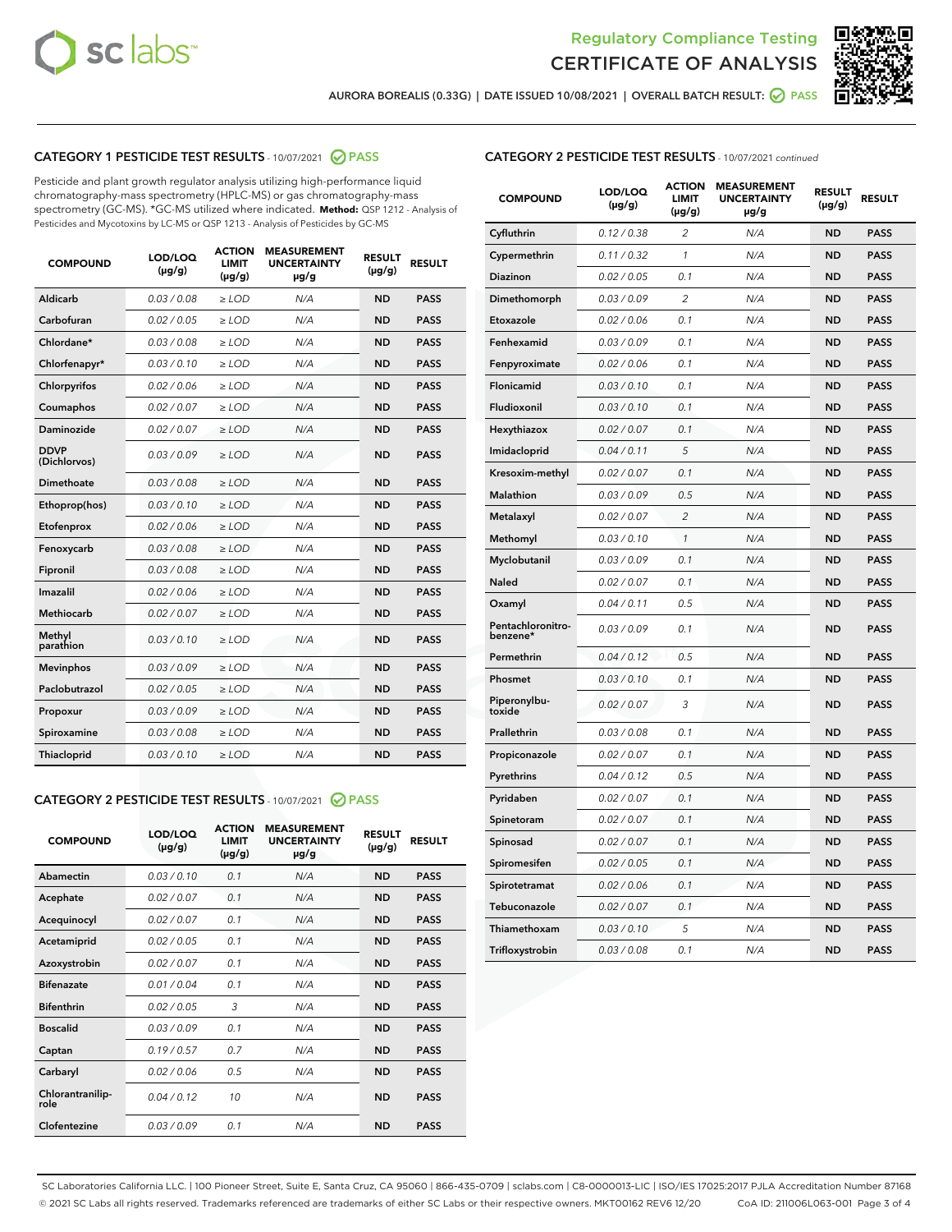



AURORA BOREALIS (0.33G) | DATE ISSUED 10/08/2021 | OVERALL BATCH RESULT: @ PASS

# CATEGORY 1 PESTICIDE TEST RESULTS - 10/07/2021 @ PASS

Pesticide and plant growth regulator analysis utilizing high-performance liquid chromatography-mass spectrometry (HPLC-MS) or gas chromatography-mass spectrometry (GC-MS). \*GC-MS utilized where indicated. **Method:** QSP 1212 - Analysis of Pesticides and Mycotoxins by LC-MS or QSP 1213 - Analysis of Pesticides by GC-MS

| <b>COMPOUND</b>             | LOD/LOQ<br>$(\mu g/g)$ | <b>ACTION</b><br><b>LIMIT</b><br>$(\mu g/g)$ | <b>MEASUREMENT</b><br><b>UNCERTAINTY</b><br>µg/g | <b>RESULT</b><br>$(\mu g/g)$ | <b>RESULT</b> |
|-----------------------------|------------------------|----------------------------------------------|--------------------------------------------------|------------------------------|---------------|
| Aldicarb                    | 0.03 / 0.08            | $\geq$ LOD                                   | N/A                                              | <b>ND</b>                    | <b>PASS</b>   |
| Carbofuran                  | 0.02/0.05              | $\ge$ LOD                                    | N/A                                              | <b>ND</b>                    | <b>PASS</b>   |
| Chlordane*                  | 0.03 / 0.08            | $\ge$ LOD                                    | N/A                                              | <b>ND</b>                    | <b>PASS</b>   |
| Chlorfenapyr*               | 0.03/0.10              | $\ge$ LOD                                    | N/A                                              | <b>ND</b>                    | <b>PASS</b>   |
| Chlorpyrifos                | 0.02 / 0.06            | $\ge$ LOD                                    | N/A                                              | <b>ND</b>                    | <b>PASS</b>   |
| Coumaphos                   | 0.02 / 0.07            | $\ge$ LOD                                    | N/A                                              | <b>ND</b>                    | <b>PASS</b>   |
| Daminozide                  | 0.02 / 0.07            | $\ge$ LOD                                    | N/A                                              | <b>ND</b>                    | <b>PASS</b>   |
| <b>DDVP</b><br>(Dichlorvos) | 0.03/0.09              | $\ge$ LOD                                    | N/A                                              | <b>ND</b>                    | <b>PASS</b>   |
| Dimethoate                  | 0.03/0.08              | $\ge$ LOD                                    | N/A                                              | <b>ND</b>                    | <b>PASS</b>   |
| Ethoprop(hos)               | 0.03/0.10              | $\ge$ LOD                                    | N/A                                              | <b>ND</b>                    | <b>PASS</b>   |
| Etofenprox                  | 0.02 / 0.06            | $\ge$ LOD                                    | N/A                                              | <b>ND</b>                    | <b>PASS</b>   |
| Fenoxycarb                  | 0.03/0.08              | $\ge$ LOD                                    | N/A                                              | <b>ND</b>                    | <b>PASS</b>   |
| Fipronil                    | 0.03 / 0.08            | $\ge$ LOD                                    | N/A                                              | <b>ND</b>                    | <b>PASS</b>   |
| Imazalil                    | 0.02 / 0.06            | $\ge$ LOD                                    | N/A                                              | <b>ND</b>                    | <b>PASS</b>   |
| <b>Methiocarb</b>           | 0.02 / 0.07            | $\ge$ LOD                                    | N/A                                              | <b>ND</b>                    | <b>PASS</b>   |
| Methyl<br>parathion         | 0.03/0.10              | $\ge$ LOD                                    | N/A                                              | <b>ND</b>                    | <b>PASS</b>   |
| <b>Mevinphos</b>            | 0.03/0.09              | $\ge$ LOD                                    | N/A                                              | <b>ND</b>                    | <b>PASS</b>   |
| Paclobutrazol               | 0.02 / 0.05            | $\ge$ LOD                                    | N/A                                              | <b>ND</b>                    | <b>PASS</b>   |
| Propoxur                    | 0.03/0.09              | $\ge$ LOD                                    | N/A                                              | <b>ND</b>                    | <b>PASS</b>   |
| Spiroxamine                 | 0.03/0.08              | $\ge$ LOD                                    | N/A                                              | <b>ND</b>                    | <b>PASS</b>   |
| <b>Thiacloprid</b>          | 0.03/0.10              | $\ge$ LOD                                    | N/A                                              | <b>ND</b>                    | <b>PASS</b>   |
|                             |                        |                                              |                                                  |                              |               |

# CATEGORY 2 PESTICIDE TEST RESULTS - 10/07/2021 @ PASS

| <b>COMPOUND</b>          | LOD/LOO<br>$(\mu g/g)$ | <b>ACTION</b><br>LIMIT<br>$(\mu g/g)$ | <b>MEASUREMENT</b><br><b>UNCERTAINTY</b><br>$\mu$ g/g | <b>RESULT</b><br>$(\mu g/g)$ | <b>RESULT</b> |  |
|--------------------------|------------------------|---------------------------------------|-------------------------------------------------------|------------------------------|---------------|--|
| Abamectin                | 0.03/0.10              | 0.1                                   | N/A                                                   | <b>ND</b>                    | <b>PASS</b>   |  |
| Acephate                 | 0.02/0.07              | 0.1                                   | N/A                                                   | <b>ND</b>                    | <b>PASS</b>   |  |
| Acequinocyl              | 0.02/0.07              | 0.1                                   | N/A                                                   | <b>ND</b>                    | <b>PASS</b>   |  |
| Acetamiprid              | 0.02/0.05              | 0.1                                   | N/A                                                   | <b>ND</b>                    | <b>PASS</b>   |  |
| Azoxystrobin             | 0.02/0.07              | 0.1                                   | N/A                                                   | <b>ND</b>                    | <b>PASS</b>   |  |
| <b>Bifenazate</b>        | 0.01/0.04              | 0.1                                   | N/A                                                   | <b>ND</b>                    | <b>PASS</b>   |  |
| <b>Bifenthrin</b>        | 0.02/0.05              | 3                                     | N/A                                                   | <b>ND</b>                    | <b>PASS</b>   |  |
| <b>Boscalid</b>          | 0.03/0.09              | 0.1                                   | N/A                                                   | <b>ND</b>                    | <b>PASS</b>   |  |
| Captan                   | 0.19/0.57              | 0.7                                   | N/A                                                   | <b>ND</b>                    | <b>PASS</b>   |  |
| Carbaryl                 | 0.02/0.06              | 0.5                                   | N/A                                                   | <b>ND</b>                    | <b>PASS</b>   |  |
| Chlorantranilip-<br>role | 0.04/0.12              | 10                                    | N/A                                                   | <b>ND</b>                    | <b>PASS</b>   |  |
| Clofentezine             | 0.03/0.09              | 0.1                                   | N/A                                                   | <b>ND</b>                    | <b>PASS</b>   |  |

#### CATEGORY 2 PESTICIDE TEST RESULTS - 10/07/2021 continued

| <b>COMPOUND</b>               | LOD/LOQ<br>(µg/g) | <b>ACTION</b><br><b>LIMIT</b><br>(µg/g) | <b>MEASUREMENT</b><br><b>UNCERTAINTY</b><br>µg/g | <b>RESULT</b><br>(µg/g) | <b>RESULT</b> |
|-------------------------------|-------------------|-----------------------------------------|--------------------------------------------------|-------------------------|---------------|
| Cyfluthrin                    | 0.12 / 0.38       | $\overline{c}$                          | N/A                                              | <b>ND</b>               | <b>PASS</b>   |
| Cypermethrin                  | 0.11/0.32         | 1                                       | N/A                                              | <b>ND</b>               | <b>PASS</b>   |
| <b>Diazinon</b>               | 0.02 / 0.05       | 0.1                                     | N/A                                              | <b>ND</b>               | <b>PASS</b>   |
| Dimethomorph                  | 0.03 / 0.09       | 2                                       | N/A                                              | <b>ND</b>               | <b>PASS</b>   |
| Etoxazole                     | 0.02 / 0.06       | 0.1                                     | N/A                                              | <b>ND</b>               | <b>PASS</b>   |
| Fenhexamid                    | 0.03 / 0.09       | 0.1                                     | N/A                                              | <b>ND</b>               | <b>PASS</b>   |
| Fenpyroximate                 | 0.02 / 0.06       | 0.1                                     | N/A                                              | <b>ND</b>               | <b>PASS</b>   |
| Flonicamid                    | 0.03/0.10         | 0.1                                     | N/A                                              | <b>ND</b>               | <b>PASS</b>   |
| Fludioxonil                   | 0.03 / 0.10       | 0.1                                     | N/A                                              | <b>ND</b>               | <b>PASS</b>   |
| Hexythiazox                   | 0.02 / 0.07       | 0.1                                     | N/A                                              | <b>ND</b>               | <b>PASS</b>   |
| Imidacloprid                  | 0.04 / 0.11       | 5                                       | N/A                                              | <b>ND</b>               | <b>PASS</b>   |
| Kresoxim-methyl               | 0.02 / 0.07       | 0.1                                     | N/A                                              | <b>ND</b>               | <b>PASS</b>   |
| <b>Malathion</b>              | 0.03 / 0.09       | 0.5                                     | N/A                                              | <b>ND</b>               | <b>PASS</b>   |
| Metalaxyl                     | 0.02 / 0.07       | $\overline{c}$                          | N/A                                              | <b>ND</b>               | <b>PASS</b>   |
| Methomyl                      | 0.03 / 0.10       | 1                                       | N/A                                              | <b>ND</b>               | <b>PASS</b>   |
| Myclobutanil                  | 0.03 / 0.09       | 0.1                                     | N/A                                              | <b>ND</b>               | <b>PASS</b>   |
| Naled                         | 0.02 / 0.07       | 0.1                                     | N/A                                              | <b>ND</b>               | <b>PASS</b>   |
| Oxamyl                        | 0.04 / 0.11       | 0.5                                     | N/A                                              | <b>ND</b>               | <b>PASS</b>   |
| Pentachloronitro-<br>benzene* | 0.03 / 0.09       | 0.1                                     | N/A                                              | <b>ND</b>               | <b>PASS</b>   |
| Permethrin                    | 0.04 / 0.12       | 0.5                                     | N/A                                              | <b>ND</b>               | <b>PASS</b>   |
| Phosmet                       | 0.03 / 0.10       | 0.1                                     | N/A                                              | <b>ND</b>               | <b>PASS</b>   |
| Piperonylbu-<br>toxide        | 0.02 / 0.07       | 3                                       | N/A                                              | <b>ND</b>               | <b>PASS</b>   |
| Prallethrin                   | 0.03 / 0.08       | 0.1                                     | N/A                                              | <b>ND</b>               | <b>PASS</b>   |
| Propiconazole                 | 0.02 / 0.07       | 0.1                                     | N/A                                              | <b>ND</b>               | <b>PASS</b>   |
| Pyrethrins                    | 0.04 / 0.12       | 0.5                                     | N/A                                              | ND                      | <b>PASS</b>   |
| Pyridaben                     | 0.02 / 0.07       | 0.1                                     | N/A                                              | <b>ND</b>               | <b>PASS</b>   |
| Spinetoram                    | 0.02 / 0.07       | 0.1                                     | N/A                                              | <b>ND</b>               | <b>PASS</b>   |
| Spinosad                      | 0.02 / 0.07       | 0.1                                     | N/A                                              | <b>ND</b>               | <b>PASS</b>   |
| Spiromesifen                  | 0.02 / 0.05       | 0.1                                     | N/A                                              | <b>ND</b>               | <b>PASS</b>   |
| Spirotetramat                 | 0.02 / 0.06       | 0.1                                     | N/A                                              | <b>ND</b>               | <b>PASS</b>   |
| Tebuconazole                  | 0.02 / 0.07       | 0.1                                     | N/A                                              | <b>ND</b>               | <b>PASS</b>   |
| Thiamethoxam                  | 0.03 / 0.10       | 5                                       | N/A                                              | <b>ND</b>               | <b>PASS</b>   |
| Trifloxystrobin               | 0.03 / 0.08       | 0.1                                     | N/A                                              | <b>ND</b>               | <b>PASS</b>   |

SC Laboratories California LLC. | 100 Pioneer Street, Suite E, Santa Cruz, CA 95060 | 866-435-0709 | sclabs.com | C8-0000013-LIC | ISO/IES 17025:2017 PJLA Accreditation Number 87168 © 2021 SC Labs all rights reserved. Trademarks referenced are trademarks of either SC Labs or their respective owners. MKT00162 REV6 12/20 CoA ID: 211006L063-001 Page 3 of 4